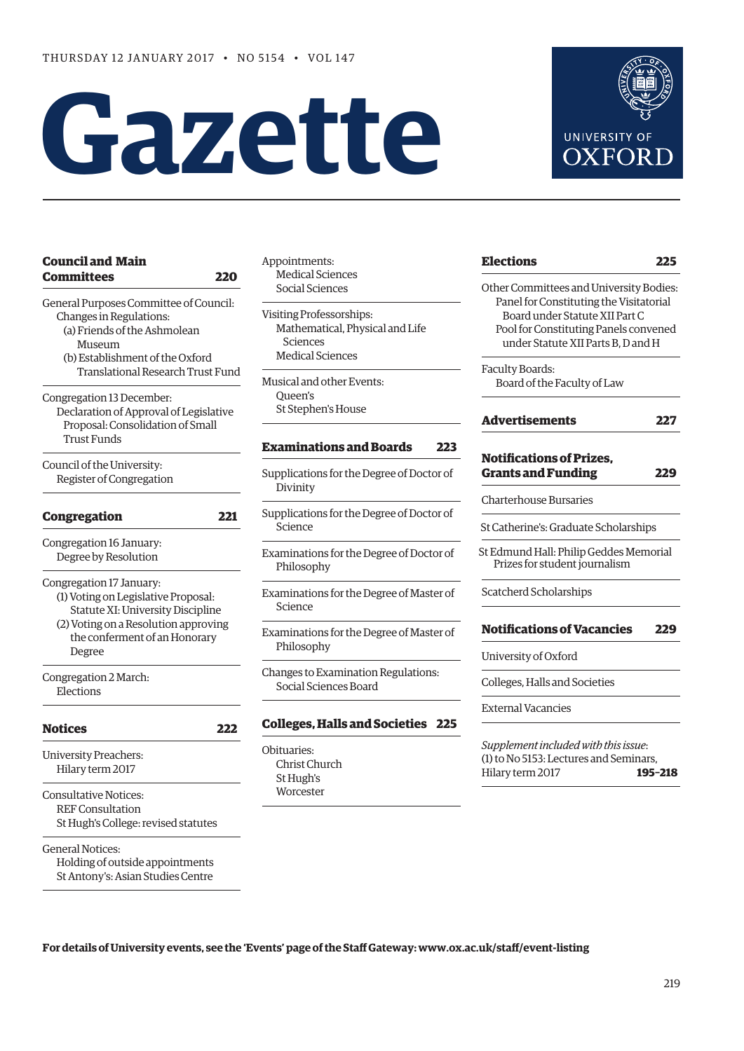# **Gazette**

#### **[Council and Main](#page-1-0)  Committees 220**

General Purposes Committee of Council: Changes in Regulations: (a) Friends of the Ashmolean Museum

 (b) Establishment of the Oxford Translational Research Trust Fund

Congregation 13 December: Declaration of Approval of Legislative Proposal: Consolidation of Small Trust Funds

Council of the University: Register of Congregation

## **[Congregation 221](#page-2-0)**

Congregation 16 January: Degree by Resolution

Congregation 17 January:

- (1) Voting on Legislative Proposal: Statute XI: University Discipline
- (2) Voting on a Resolution approving the conferment of an Honorary Degree

Congregation 2 March: Elections

## **[Notices](#page-3-0) 222** University Preachers: Hilary term 2017 Consultative Notices:

REF Consultation St Hugh's College: revised statutes

General Notices: Holding of outside appointments St Antony's: Asian Studies Centre

Appointments: Medical Sciences Social Sciences

Visiting Professorships: Mathematical, Physical and Life Sciences Medical Sciences

Musical and other Events: Queen's St Stephen's House

#### **[Examinations and Boards](#page-4-0) 223**

Supplications for the Degree of Doctor of Divinity

Supplications for the Degree of Doctor of Science

Examinations for the Degree of Doctor of Philosophy

Examinations for the Degree of Master of Science

Examinations for the Degree of Master of Philosophy

Changes to Examination Regulations: Social Sciences Board

#### **[Colleges, Halls and Societies](#page-6-0) 225**

Obituaries: Christ Church St Hugh's **Worcester** 

| UNIVERSITY OF |
|---------------|
| OXFORD        |
|               |
|               |
|               |

**[Elections](#page-6-0) 225**

Faculty Boards: Board of the Faculty of Law

#### **[Advertisements](#page-8-0) 227**

#### **[Notifications of Prizes,](#page-10-0)  Grants and Funding 229**

Charterhouse Bursaries

St Catherine's: Graduate Scholarships

St Edmund Hall: Philip Geddes Memorial Prizes for student journalism

Scatcherd Scholarships

#### **[Notifications of Vacancies 229](#page-10-0)**

University of Oxford

Colleges, Halls and Societies

External Vacancies

*Supplement included with this issue*: (1) to No 5153: Lectures and Seminars, Hilary term 2017 **195–218**

**For details of University events, see the 'Events' page of the Staff Gateway: [www.ox.ac.uk/staff/event-listing](http://www.ox.ac.uk/staff/event-listing)**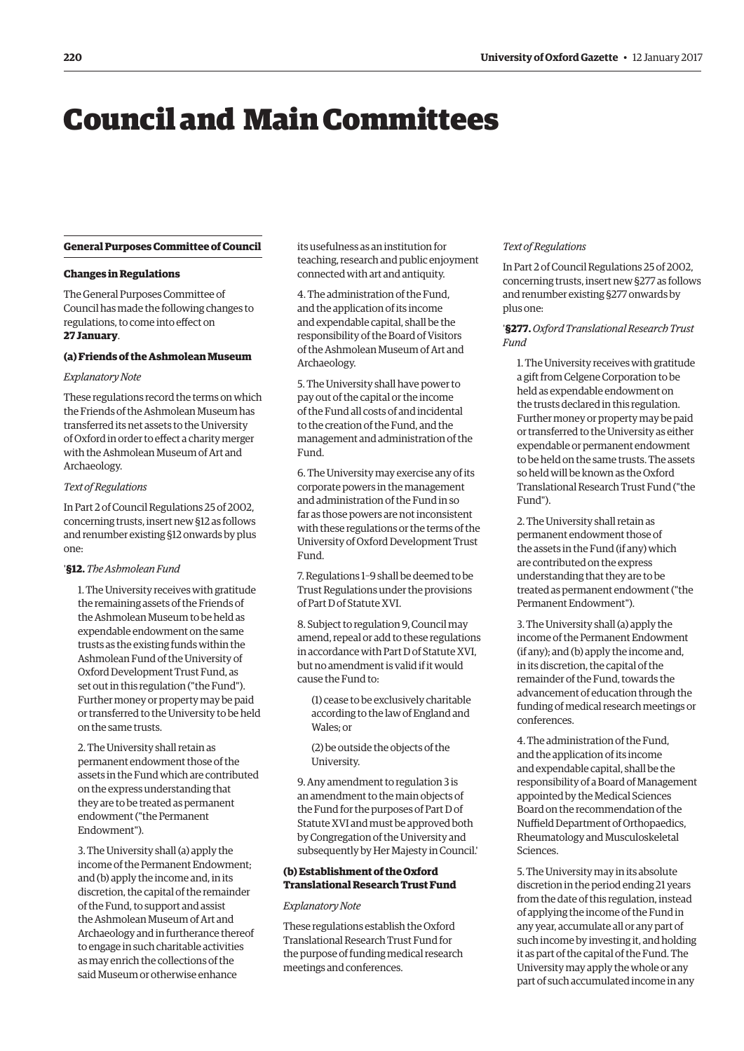## <span id="page-1-0"></span>Council and Main Committees

#### **General Purposes Committee of Council**

#### **Changes in Regulations**

The General Purposes Committee of Council has made the following changes to regulations, to come into effect on **27 January**.

#### **(a) Friends of the Ashmolean Museum**

#### *Explanatory Note*

These regulations record the terms on which the Friends of the Ashmolean Museum has transferred its net assets to the University of Oxford in order to effect a charity merger with the Ashmolean Museum of Art and Archaeology.

#### *Text of Regulations*

In Part 2 of Council Regulations 25 of 2002, concerning trusts, insert new §12 as follows and renumber existing §12 onwards by plus one:

#### '**§12.** *The Ashmolean Fund*

1. The University receives with gratitude the remaining assets of the Friends of the Ashmolean Museum to be held as expendable endowment on the same trusts as the existing funds within the Ashmolean Fund of the University of Oxford Development Trust Fund, as set out in this regulation ("the Fund"). Further money or property may be paid or transferred to the University to be held on the same trusts.

2. The University shall retain as permanent endowment those of the assets in the Fund which are contributed on the express understanding that they are to be treated as permanent endowment ("the Permanent Endowment").

3. The University shall (a) apply the income of the Permanent Endowment; and (b) apply the income and, in its discretion, the capital of the remainder of the Fund, to support and assist the Ashmolean Museum of Art and Archaeology and in furtherance thereof to engage in such charitable activities as may enrich the collections of the said Museum or otherwise enhance

its usefulness as an institution for teaching, research and public enjoyment connected with art and antiquity.

4. The administration of the Fund, and the application of its income and expendable capital, shall be the responsibility of the Board of Visitors of the Ashmolean Museum of Art and Archaeology.

5. The University shall have power to pay out of the capital or the income of the Fund all costs of and incidental to the creation of the Fund, and the management and administration of the Fund.

6. The University may exercise any of its corporate powers in the management and administration of the Fund in so far as those powers are not inconsistent with these regulations or the terms of the University of Oxford Development Trust Fund.

7. Regulations 1–9 shall be deemed to be Trust Regulations under the provisions of Part D of Statute XVI.

8. Subject to regulation 9, Council may amend, repeal or add to these regulations in accordance with Part D of Statute XVI, but no amendment is valid if it would cause the Fund to:

(1) cease to be exclusively charitable according to the law of England and Wales; or

(2) be outside the objects of the University.

9. Any amendment to regulation 3 is an amendment to the main objects of the Fund for the purposes of Part D of Statute XVI and must be approved both by Congregation of the University and subsequently by Her Majesty in Council.'

#### **(b) Establishment of the Oxford Translational Research Trust Fund**

#### *Explanatory Note*

These regulations establish the Oxford Translational Research Trust Fund for the purpose of funding medical research meetings and conferences.

#### *Text of Regulations*

In Part 2 of Council Regulations 25 of 2002, concerning trusts, insert new §277 as follows and renumber existing §277 onwards by plus one:

#### '**§277.***Oxford Translational Research Trust Fund*

1. The University receives with gratitude a gift from Celgene Corporation to be held as expendable endowment on the trusts declared in this regulation. Further money or property may be paid or transferred to the University as either expendable or permanent endowment to be held on the same trusts. The assets so held will be known as the Oxford Translational Research Trust Fund ("the Fund").

2. The University shall retain as permanent endowment those of the assets in the Fund (if any) which are contributed on the express understanding that they are to be treated as permanent endowment ("the Permanent Endowment").

3. The University shall (a) apply the income of the Permanent Endowment (if any); and (b) apply the income and, in its discretion, the capital of the remainder of the Fund, towards the advancement of education through the funding of medical research meetings or conferences.

4. The administration of the Fund, and the application of its income and expendable capital, shall be the responsibility of a Board of Management appointed by the Medical Sciences Board on the recommendation of the Nuffield Department of Orthopaedics, Rheumatology and Musculoskeletal Sciences.

5. The University may in its absolute discretion in the period ending 21 years from the date of this regulation, instead of applying the income of the Fund in any year, accumulate all or any part of such income by investing it, and holding it as part of the capital of the Fund. The University may apply the whole or any part of such accumulated income in any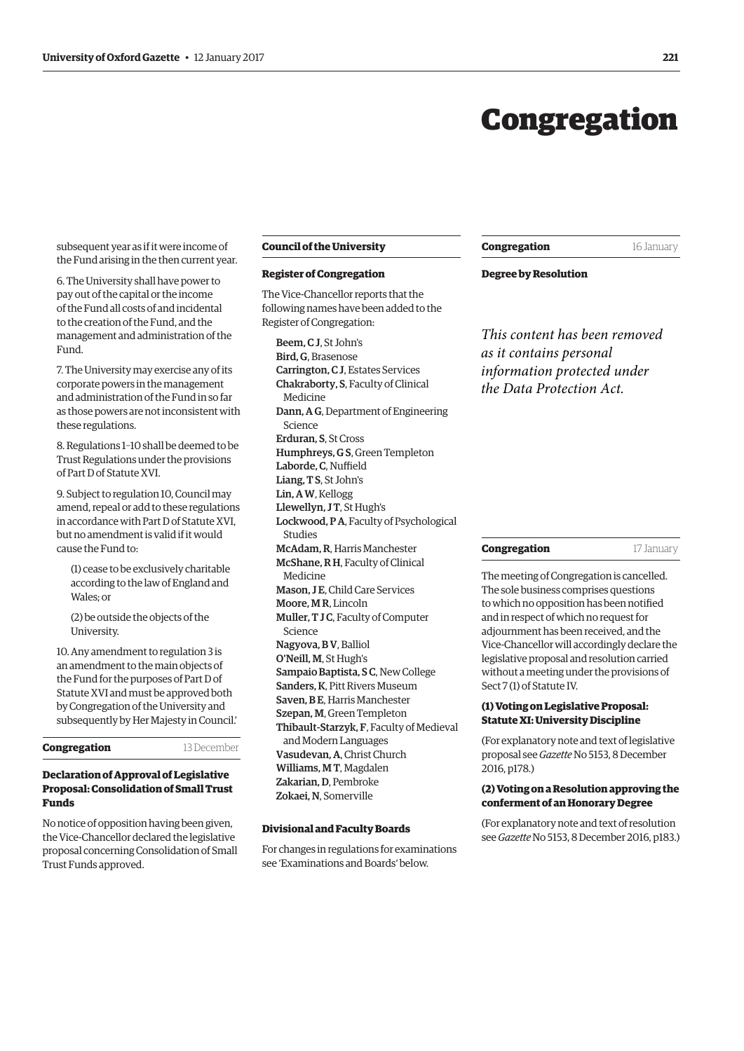## Congregation

<span id="page-2-0"></span>subsequent year as if it were income of the Fund arising in the then current year.

6. The University shall have power to pay out of the capital or the income of the Fund all costs of and incidental to the creation of the Fund, and the management and administration of the Fund.

7. The University may exercise any of its corporate powers in the management and administration of the Fund in so far as those powers are not inconsistent with these regulations.

8. Regulations 1–10 shall be deemed to be Trust Regulations under the provisions of Part D of Statute XVI.

9. Subject to regulation 10, Council may amend, repeal or add to these regulations in accordance with Part D of Statute XVI, but no amendment is valid if it would cause the Fund to:

(1) cease to be exclusively charitable according to the law of England and Wales; or

(2) be outside the objects of the University.

10. Any amendment to regulation 3 is an amendment to the main objects of the Fund for the purposes of Part D of Statute XVI and must be approved both by Congregation of the University and subsequently by Her Majesty in Council.'

**Congregation** 13 December

#### **Declaration of Approval of Legislative Proposal: Consolidation of Small Trust Funds**

No notice of opposition having been given, the Vice-Chancellor declared the legislative proposal concerning Consolidation of Small Trust Funds approved.

#### **Council of the University**

#### **Register of Congregation**

The Vice-Chancellor reports that the following names have been added to the Register of Congregation:

Beem, C J, St John's Bird, G, Brasenose Carrington, C J, Estates Services Chakraborty, S, Faculty of Clinical Medicine Dann, A G, Department of Engineering Science Erduran, S, St Cross Humphreys, G S, Green Templeton Laborde, C, Nuffield Liang, T S, St John's Lin, A W, Kellogg Llewellyn, J T, St Hugh's Lockwood, P A, Faculty of Psychological Studies McAdam, R, Harris Manchester McShane, R H, Faculty of Clinical Medicine Mason, J E, Child Care Services Moore, M R, Lincoln Muller, T J C, Faculty of Computer Science Nagyova, B V, Balliol O'Neill, M, St Hugh's Sampaio Baptista, S C, New College Sanders, K, Pitt Rivers Museum Saven, B E, Harris Manchester Szepan, M, Green Templeton Thibault-Starzyk, F, Faculty of Medieval and Modern Languages Vasudevan, A, Christ Church Williams, M T, Magdalen Zakarian, D, Pembroke Zokaei, N, Somerville

For changes in regulations for examinations see '[Examinations and Boards'](#page-4-0) below.

**Congregation** 16 January

#### **Degree by Resolution**

*This content has been removed as it contains personal information protected under the Data Protection Act.*

#### **Congregation** 17 January

The meeting of Congregation is cancelled. The sole business comprises questions to which no opposition has been notified and in respect of which no request for adjournment has been received, and the Vice-Chancellor will accordingly declare the legislative proposal and resolution carried without a meeting under the provisions of Sect 7 (1) of Statute IV.

#### **(1) Voting on Legislative Proposal: Statute XI: University Discipline**

(For explanatory note and text of legislative proposal see *Gazette* [No 5153, 8 December](http://www.ox.ac.uk/gazette/2016-2017/8december2016-no5153/congregation/#246417)  2016, p178.)

#### **(2) Voting on a Resolution approving the conferment of an Honorary Degree**

(For explanatory note and text of resolution see *Gazette* [No 5153, 8 December 2016, p183.](http://www.ox.ac.uk/gazette/2016-2017/8december2016-no5153/congregation/#cong2)) **Divisional and Faculty Boards**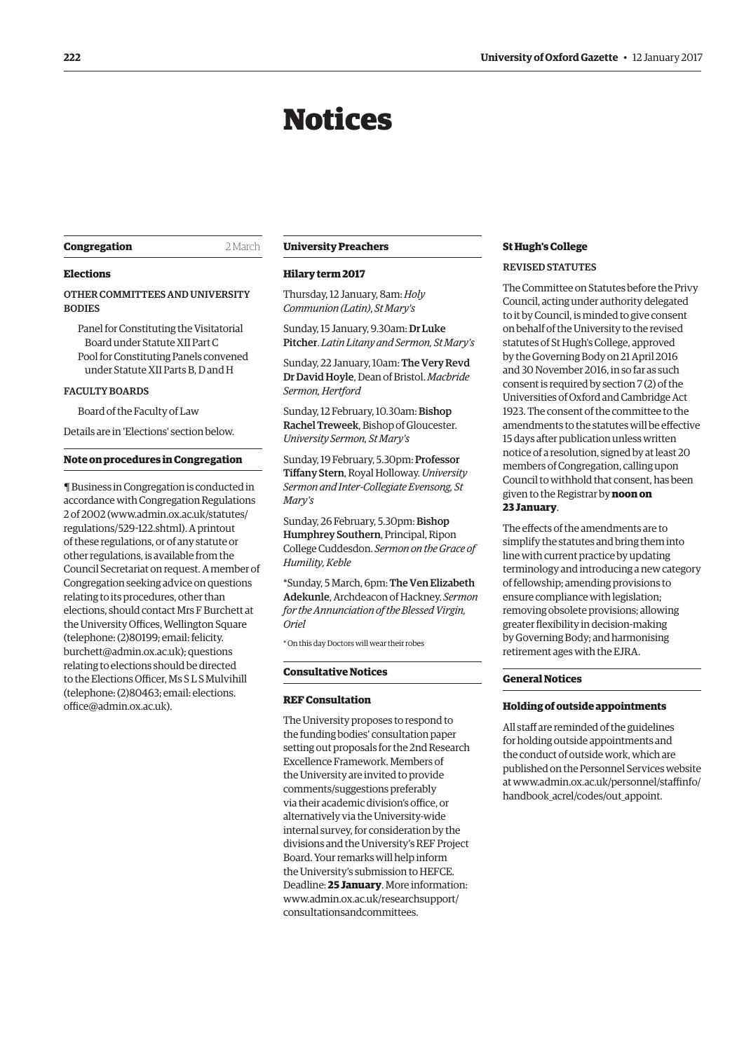## Notices

#### <span id="page-3-0"></span>**Congregation** 2 March

#### **Elections**

OTHER COMMITTEES AND UNIVERSITY **BODIES** 

Panel for Constituting the Visitatorial Board under Statute XII Part C Pool for Constituting Panels convened under Statute XII Parts B, D and H

#### FACULTY BOARDS

Board of the Faculty of Law

Details are in ['Elections'](#page-6-0) section below.

#### **Note on procedures in Congregation**

¶ Business in Congregation is conducted in accordance with Congregation Regulations 2 of 2002 [\(www.admin.ox.ac.uk/statutes/](http://www.admin.ox.ac.uk/statutes/regulations/529-122.shtml) [regulations/529-122.shtml\). A](http://www.admin.ox.ac.uk/statutes/regulations/529-122.shtml) printout of these regulations, or of any statute or other regulations, is available from the Council Secretariat on request. A member of Congregation seeking advice on questions relating to its procedures, other than elections, should contact Mrs F Burchett at the University Offices, Wellington Square (telephone: (2)80199; email: felicity. [burchett@admin.ox.ac.uk\); questions](mailto:felicity.burchett@admin.ox.ac.uk)  relating to elections should be directed to the Elections Officer, Ms S L S Mulvihill [\(telephone: \(2\)80463; email: elections.](mailto:elections.office@admin.ox.ac.uk) office@admin.ox.ac.uk).

#### **University Preachers**

#### **Hilary term 2017**

Thursday, 12 January, 8am: *Holy Communion (Latin)*, *St Mary's*

Sunday, 15 January, 9.30am: Dr Luke Pitcher. *Latin Litany and Sermon, St Mary's*

Sunday, 22 January, 10am: The Very Revd Dr David Hoyle, Dean of Bristol. *Macbride Sermon, Hertford*

Sunday, 12 February, 10.30am: Bishop Rachel Treweek, Bishop of Gloucester. *University Sermon, St Mary's*

Sunday, 19 February, 5.30pm: Professor Tiffany Stern, Royal Holloway. *University Sermon and Inter-Collegiate Evensong, St Mary's*

Sunday, 26 February, 5.30pm: Bishop Humphrey Southern, Principal, Ripon College Cuddesdon. *Sermon on the Grace of Humility, Keble*

\*Sunday, 5 March, 6pm: The Ven Elizabeth Adekunle, Archdeacon of Hackney. *Sermon for the Annunciation of the Blessed Virgin, Oriel*

\* On this day Doctors will wear their robes

#### **Consultative Notices**

#### **REF Consultation**

The University proposes to respond to the funding bodies' consultation paper setting out proposals for the 2nd Research Excellence Framework. Members of the University are invited to provide comments/suggestions preferably via their academic division's office, or alternatively via the University-wide internal survey, for consideration by the divisions and the University's REF Project Board. Your remarks will help inform the University's submission to HEFCE. Deadline: **25 January**. More information: [www.admin.ox.ac.uk/researchsupport/](www.admin.ox.ac.uk/researchsupport/consultationsandcommittees) consultationsandcommittees.

#### **St Hugh's College**

#### REVISED STATUTES

The Committee on Statutes before the Privy Council, acting under authority delegated to it by Council, is minded to give consent on behalf of the University to the revised statutes of St Hugh's College, approved by the Governing Body on 21 April 2016 and 30 November 2016, in so far as such consent is required by section 7 (2) of the Universities of Oxford and Cambridge Act 1923. The consent of the committee to the amendments to the statutes will be effective 15 days after publication unless written notice of a resolution, signed by at least 20 members of Congregation, calling upon Council to withhold that consent, has been given to the Registrar by **noon on 23 January**.

The effects of the amendments are to simplify the statutes and bring them into line with current practice by updating terminology and introducing a new category of fellowship; amending provisions to ensure compliance with legislation; removing obsolete provisions; allowing greater flexibility in decision-making by Governing Body; and harmonising retirement ages with the EJRA.

#### **General Notices**

#### **Holding of outside appointments**

All staff are reminded of the guidelines for holding outside appointments and the conduct of outside work, which are published on the Personnel Services website [at www.admin.ox.ac.uk/personnel/staffinfo/](www.admin.ox.ac.uk/personnel/staffinfo/handbook_acrel/codes/out_appoint) handbook\_acrel/codes/out\_appoint.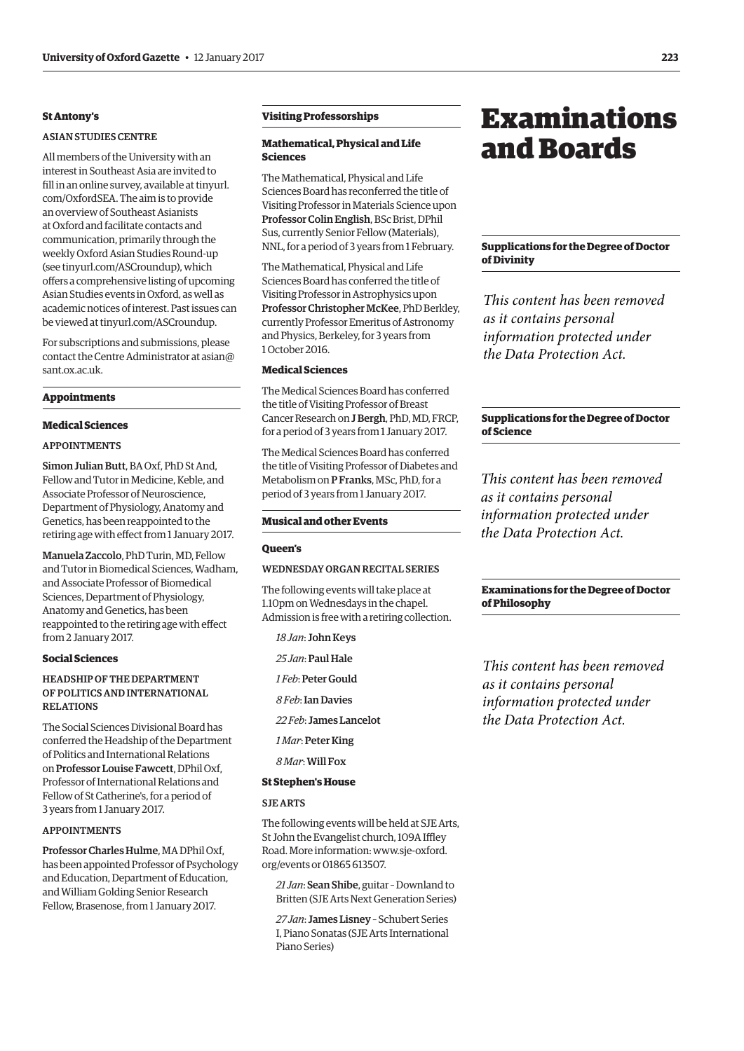#### <span id="page-4-0"></span>**St Antony's**

#### ASIAN STUDIES CENTRE

All members of the University with an interest in Southeast Asia are invited to fill in an online survey, available a[t tinyurl.](http://tinyurl.com/OxfordSEA) [com/OxfordSEA.](http://tinyurl.com/OxfordSEA) The aim is to provide an overview of Southeast Asianists at Oxford and facilitate contacts and communication, primarily through the weekly Oxford Asian Studies Round-up (see [tinyurl.com/ASCroundup](http://tinyurl.com/ASCroundup)), which offers a comprehensive listing of upcoming Asian Studies events in Oxford, as well as academic notices of interest. Past issues can be viewed at [tinyurl.com/ASCroundup](http://tinyurl.com/ASCroundup).

For subscriptions and submissions, please [contact the Centre Administrator at asian@](mailto:asian@sant.ox.ac.uk) sant.ox.ac.uk.

#### **Appointments**

#### **Medical Sciences**

#### APPOINTMENTS

Simon Julian Butt, BA Oxf, PhD St And, Fellow and Tutor in Medicine, Keble, and Associate Professor of Neuroscience, Department of Physiology, Anatomy and Genetics, has been reappointed to the retiring age with effect from 1 January 2017.

Manuela Zaccolo, PhD Turin, MD, Fellow and Tutor in Biomedical Sciences, Wadham, and Associate Professor of Biomedical Sciences, Department of Physiology, Anatomy and Genetics, has been reappointed to the retiring age with effect from 2 January 2017.

#### **Social Sciences**

#### HEADSHIP OF THE DEPARTMENT OF POLITICS AND INTERNATIONAL RELATIONS

The Social Sciences Divisional Board has conferred the Headship of the Department of Politics and International Relations on Professor Louise Fawcett, DPhil Oxf, Professor of International Relations and Fellow of St Catherine's, for a period of 3 years from 1 January 2017.

#### APPOINTMENTS

Professor Charles Hulme, MA DPhil Oxf, has been appointed Professor of Psychology and Education, Department of Education, and William Golding Senior Research Fellow, Brasenose, from 1 January 2017.

#### **Visiting Professorships**

#### **Mathematical, Physical and Life Sciences**

The Mathematical, Physical and Life Sciences Board has reconferred the title of Visiting Professor in Materials Science upon Professor Colin English, BSc Brist, DPhil Sus, currently Senior Fellow (Materials), NNL, for a period of 3 years from 1 February.

The Mathematical, Physical and Life Sciences Board has conferred the title of Visiting Professor in Astrophysics upon Professor Christopher McKee, PhD Berkley, currently Professor Emeritus of Astronomy and Physics, Berkeley, for 3 years from 1 October 2016.

#### **Medical Sciences**

The Medical Sciences Board has conferred the title of Visiting Professor of Breast Cancer Research on J Bergh, PhD, MD, FRCP, for a period of 3 years from 1 January 2017.

The Medical Sciences Board has conferred the title of Visiting Professor of Diabetes and Metabolism on P Franks, MSc, PhD, for a period of 3 years from 1 January 2017.

#### **Musical and other Events**

#### **Queen's**

#### WEDNESDAY ORGAN RECITAL SERIES

The following events will take place at 1.10pm on Wednesdays in the chapel. Admission is free with a retiring collection.

*18 Jan*: John Keys

*25 Jan*: Paul Hale

*1 Feb*: Peter Gould

*8 Feb*: Ian Davies

*22 Feb*: James Lancelot

*1 Mar*: Peter King

*8 Mar*: Will Fox

#### **St Stephen's House**

#### SJE ARTS

The following events will be held at SJE Arts, St John the Evangelist church, 109A Iffley [Road. More information: www.sje-oxford.](http://www.sje-oxford.org/events) org/events or 01865 613507.

*21 Jan*: Sean Shibe, guitar – Downland to Britten (SJE Arts Next Generation Series)

*27 Jan*: James Lisney – Schubert Series I, Piano Sonatas (SJE Arts International Piano Series)

## Examinations and Boards

#### **Supplications for the Degree of Doctor of Divinity**

*This content has been removed as it contains personal information protected under the Data Protection Act.*

#### **Supplications for the Degree of Doctor of Science**

*This content has been removed as it contains personal information protected under the Data Protection Act.*

#### **Examinations for the Degree of Doctor of Philosophy**

*This content has been removed as it contains personal information protected under the Data Protection Act.*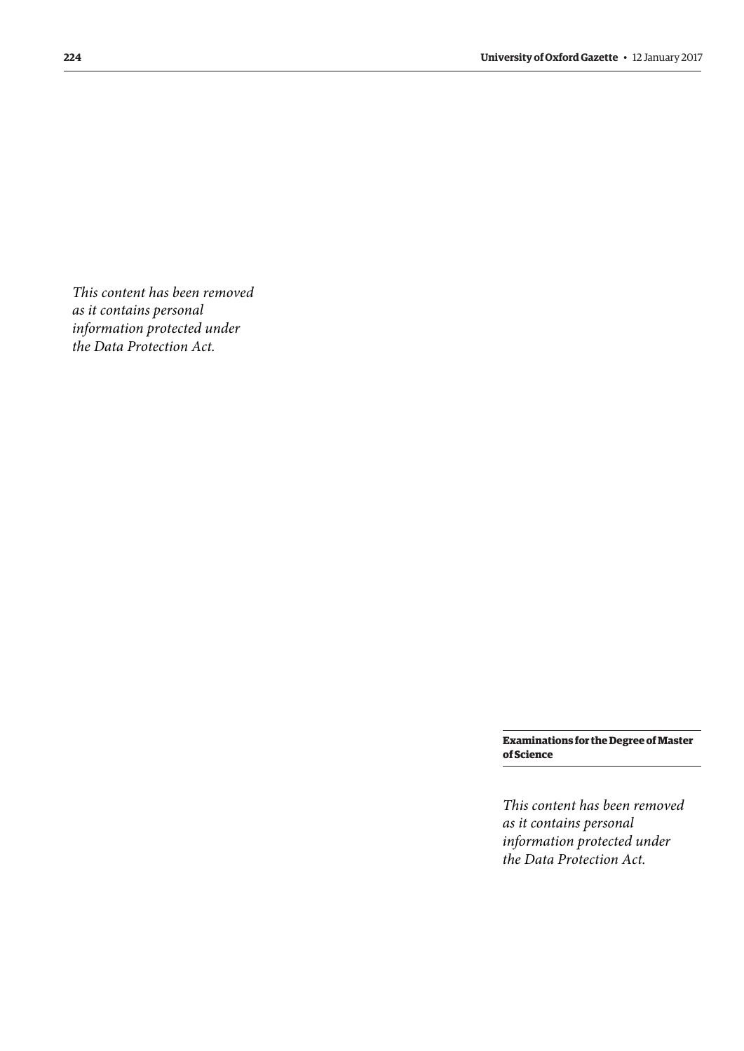*This content has been removed as it contains personal information protected under the Data Protection Act.*

> **Examinations for the Degree of Master of Science**

*This content has been removed as it contains personal information protected under the Data Protection Act.*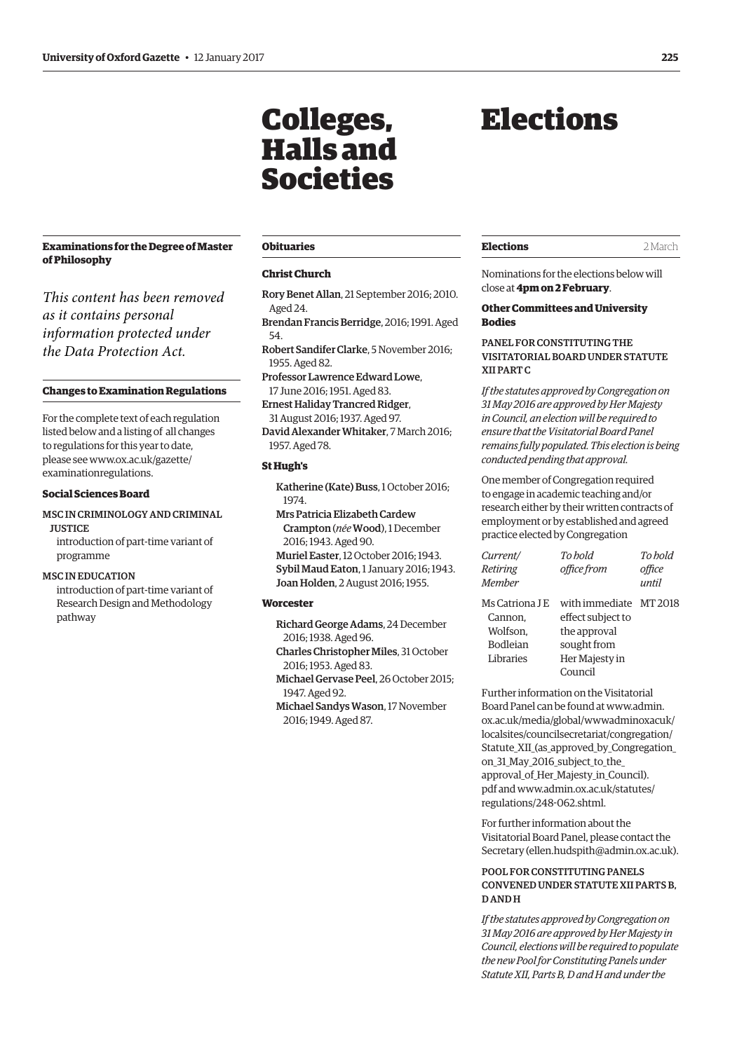### <span id="page-6-0"></span>**Examinations for the Degree of Master of Philosophy**

*This content has been removed as it contains personal information protected under the Data Protection Act.*

#### **Changes to Examination Regulations**

For the complete text of each regulation listed below and a listing of all changes to regulations for this year to date, [please see www.ox.ac.uk/gazette/](www.ox.ac.uk/gazette/examinationregulations) examinationregulations.

#### **Social Sciences Board**

#### MSC IN CRIMINOLOGY AND CRIMINAL

**JUSTICE** introduction of part-time variant of programme

#### MSC IN EDUCATION

introduction of part-time variant of Research Design and Methodology pathway

#### **Obituaries**

Colleges,

Halls and

Societies

#### **Christ Church**

- Rory Benet Allan, 21 September 2016; 2010. Aged 24.
- Brendan Francis Berridge, 2016; 1991. Aged 54.
- Robert Sandifer Clarke, 5 November 2016; 1955. Aged 82.
- Professor Lawrence Edward Lowe, 17 June 2016; 1951. Aged 83.
- Ernest Haliday Trancred Ridger, 31 August 2016; 1937. Aged 97.
- David Alexander Whitaker, 7 March 2016; 1957. Aged 78.

#### **St Hugh's**

Katherine (Kate) Buss, 1 October 2016; 1974.

- Mrs Patricia Elizabeth Cardew Crampton (*née* Wood), 1 December 2016; 1943. Aged 90.
- Muriel Easter, 12 October 2016; 1943. Sybil Maud Eaton, 1 January 2016; 1943. Joan Holden, 2 August 2016; 1955.

#### **Worcester**

- Richard George Adams, 24 December 2016; 1938. Aged 96.
- Charles Christopher Miles, 31 October 2016; 1953. Aged 83.
- Michael Gervase Peel, 26 October 2015; 1947. Aged 92.
- Michael Sandys Wason, 17 November 2016; 1949. Aged 87.

## Elections

#### **Elections** 2 March

Nominations for the elections below will close at **4pm on 2 February**.

#### **Other Committees and University Bodies**

#### PANEL FOR CONSTITUTING THE VISITATORIAL BOARD UNDER STATUTE XII PART C

*If the statutes approved by Congregation on 31 May 2016 are approved by Her Majesty in Council, an election will be required to ensure that the Visitatorial Board Panel remains fully populated. This election is being conducted pending that approval.*

One member of Congregation required to engage in academic teaching and/or research either by their written contracts of employment or by established and agreed practice elected by Congregation

| Current/<br>Retiring<br>Member                                 | To hold<br>office from                                                                                  | To hold<br>office<br>until |
|----------------------------------------------------------------|---------------------------------------------------------------------------------------------------------|----------------------------|
| Ms Catriona LE<br>Cannon.<br>Wolfson.<br>Bodleian<br>Libraries | with immediate MT 2018<br>effect subject to<br>the approval<br>sought from<br>Her Majesty in<br>Council |                            |

Further information on the Visitatorial Board Panel can be found at www.admin. ox.ac.uk/media/global/wwwadminoxacuk/ localsites/councilsecretariat/congregation/ [Statute\\_XII\\_\(as\\_approved\\_by\\_Congregation\\_](https://www.admin.ox.ac.uk/media/global/wwwadminoxacuk/localsites/councilsecretariat/congregation/Statute_XII_(as_approved_by_Congregation_on_31_May_2016_subject_to_the_approval_of_Her_Majesty_in_Council).pdf) on\_31\_May\_2016\_subject\_to\_the\_ approval\_of\_Her\_Majesty\_in\_Council). [pdf and www.admin.ox.ac.uk/statutes/](www.admin.ox.ac.uk/statutes/regulations/248-062.shtml) regulations/248-062.shtml.

For further information about the Visitatorial Board Panel, please contact the Secretary ([ellen.hudspith@admin.ox.ac.uk\).](mailto:ellen.hudspith@admin.ox.ac.uk)

#### POOL FOR CONSTITUTING PANELS CONVENED UNDER STATUTE XII PARTS B, D AND H

*If the statutes approved by Congregation on 31 May 2016 are approved by Her Majesty in Council, elections will be required to populate the new Pool for Constituting Panels under Statute XII, Parts B, D and H and under the*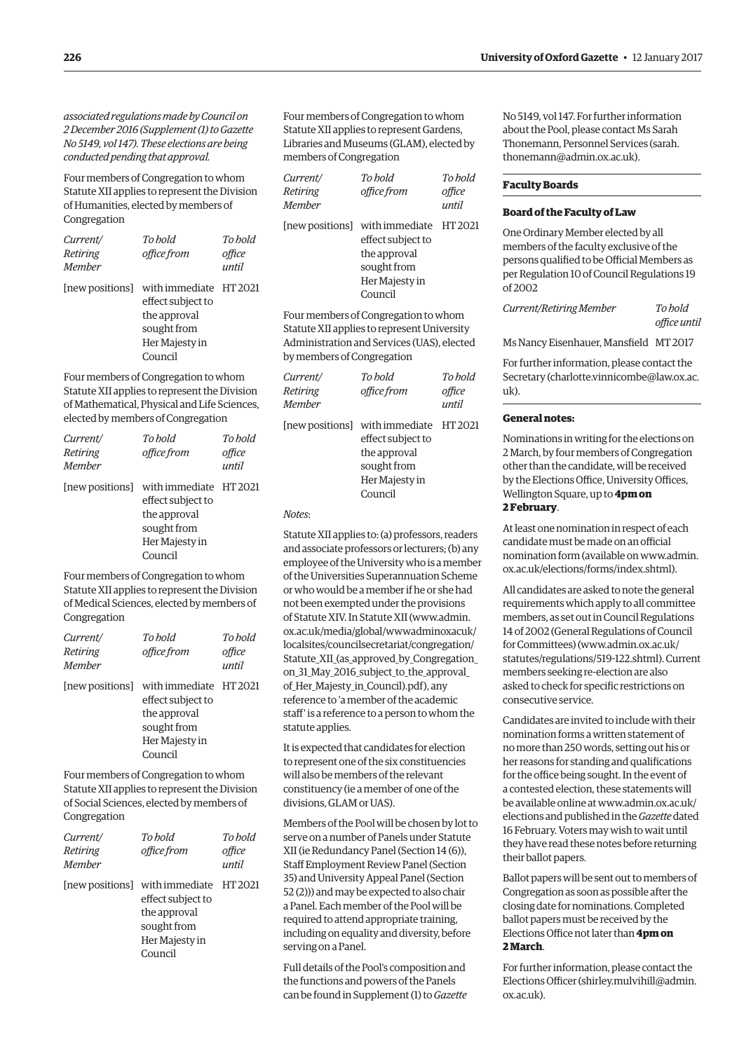*associated regulations made by Council on [2 December 2016 \(Supplement \(1\) to Gazette](https://www.ox.ac.uk/media/global/wwwoxacuk/localsites/gazette/documents/supplements2016-17/Legislative_proposal_concerning_Statutes_XII,_XI_and_XIV_-_(1)_to_No_5149.pdf) No 5149, vol 147). These elections are being conducted pending that approval.*

Four members of Congregation to whom Statute XII applies to represent the Division of Humanities, elected by members of Congregation

| Current/<br>Retiring<br>Member | To hold<br>office from                                                                                                  | To hold<br>office<br>until |
|--------------------------------|-------------------------------------------------------------------------------------------------------------------------|----------------------------|
|                                | [new positions] with immediate HT 2021<br>effect subject to<br>the approval<br>sought from<br>Her Majesty in<br>Council |                            |

Four members of Congregation to whom Statute XII applies to represent the Division of Mathematical, Physical and Life Sciences, elected by members of Congregation

| Current/<br>Retiring<br><b>Member</b> | To hold<br>office from                                                                                                  | To hold<br>office<br>until |
|---------------------------------------|-------------------------------------------------------------------------------------------------------------------------|----------------------------|
|                                       | [new positions] with immediate HT 2021<br>effect subject to<br>the approval<br>sought from<br>Her Majesty in<br>Council |                            |

Four members of Congregation to whom Statute XII applies to represent the Division of Medical Sciences, elected by members of Congregation

| Current/<br>Retiring<br><b>Member</b> | To hold<br>office from                                                                                                  | To hold<br>office<br>until |
|---------------------------------------|-------------------------------------------------------------------------------------------------------------------------|----------------------------|
|                                       | [new positions] with immediate HT 2021<br>effect subject to<br>the approval<br>sought from<br>Her Majesty in<br>Council |                            |

Four members of Congregation to whom Statute XII applies to represent the Division of Social Sciences, elected by members of Congregation

| Current/<br>Retiring<br><b>Member</b> | To hold<br>office from                                                                                                  | To bold<br>office<br>until |
|---------------------------------------|-------------------------------------------------------------------------------------------------------------------------|----------------------------|
|                                       | [new positions] with immediate HT 2021<br>effect subject to<br>the approval<br>sought from<br>Her Majesty in<br>Council |                            |

Four members of Congregation to whom Statute XII applies to represent Gardens, Libraries and Museums (GLAM), elected by members of Congregation

| <i>Current/</i><br>Retiring<br>Member | To bold<br>office from                                                                                                  | To bold<br>office<br>until |
|---------------------------------------|-------------------------------------------------------------------------------------------------------------------------|----------------------------|
|                                       | [new positions] with immediate HT 2021<br>effect subject to<br>the approval<br>sought from<br>Her Majesty in<br>Council |                            |

Four members of Congregation to whom Statute XII applies to represent University Administration and Services (UAS), elected by members of Congregation

| Current/<br>Retiring<br>Member | To hold<br>office from                                                                                                  | To hold<br>office<br>until |
|--------------------------------|-------------------------------------------------------------------------------------------------------------------------|----------------------------|
|                                | [new positions] with immediate HT 2021<br>effect subject to<br>the approval<br>sought from<br>Her Majesty in<br>Council |                            |

#### *Notes*:

Statute XII applies to: (a) professors, readers and associate professors or lecturers; (b) any employee of the University who is a member of the Universities Superannuation Scheme or who would be a member if he or she had not been exempted under the provisions of Statute XIV. In Statute XII (www.admin. ox.ac.uk/media/global/wwwadminoxacuk/ localsites/councilsecretariat/congregation/ [Statute\\_XII\\_\(as\\_approved\\_by\\_Congregation\\_](https://www.admin.ox.ac.uk/media/global/wwwadminoxacuk/localsites/councilsecretariat/congregation/Statute_XII_(as_approved_by_Congregation_on_31_May_2016_subject_to_the_approval_of_Her_Majesty_in_Council).pdf) on\_31\_May\_2016\_subject\_to\_the\_approval\_ of\_Her\_Majesty\_in\_Council).pdf), any reference to 'a member of the academic staff' is a reference to a person to whom the statute applies.

It is expected that candidates for election to represent one of the six constituencies will also be members of the relevant constituency (ie a member of one of the divisions, GLAM or UAS).

Members of the Pool will be chosen by lot to serve on a number of Panels under Statute XII (ie Redundancy Panel (Section 14 (6)), Staff Employment Review Panel (Section 35) and University Appeal Panel (Section 52 (2))) and may be expected to also chair a Panel. Each member of the Pool will be required to attend appropriate training, including on equality and diversity, before serving on a Panel.

Full details of the Pool's composition and the functions and powers of the Panels can be found in [Supplement \(1\) to](https://www.ox.ac.uk/media/global/wwwoxacuk/localsites/gazette/documents/supplements2016-17/Legislative_proposal_concerning_Statutes_XII,_XI_and_XIV_-_(1)_to_No_5149.pdf) *Gazette* [No 5149, vol 147.](https://www.ox.ac.uk/media/global/wwwoxacuk/localsites/gazette/documents/supplements2016-17/Legislative_proposal_concerning_Statutes_XII,_XI_and_XIV_-_(1)_to_No_5149.pdf) For further information about the Pool, please contact Ms Sarah [Thonemann, Personnel Services \(sarah.](mailto:sarah.thonemann@admin.ox.ac.uk) thonemann@admin.ox.ac.uk).

#### **Faculty Boards**

#### **Board of the Faculty of Law**

One Ordinary Member elected by all members of the faculty exclusive of the persons qualified to be Official Members as per Regulation 10 of Council Regulations 19 of 2002

*Current/Retiring Member To hold office until*

Ms Nancy Eisenhauer, Mansfield MT 2017

For further information, please contact the Secretary ([charlotte.vinnicombe@law.ox.ac.](mailto:charlotte.vinnicombe@law.ox.ac.uk) [uk\).](mailto:charlotte.vinnicombe@law.ox.ac.uk)

#### **General notes:**

Nominations in writing for the elections on 2 March, by four members of Congregation other than the candidate, will be received by the Elections Office, University Offices, Wellington Square, up to **4pm on 2 February**.

At least one nomination in respect of each candidate must be made on an official [nomination form \(available on www.admin.](www.admin.ox.ac.uk/elections/forms/index.shtml) ox.ac.uk/elections/forms/index.shtml).

All candidates are asked to note the general requirements which apply to all committee members, as set out in Council Regulations 14 of 2002 (General Regulations of Council for Committees) ([www.admin.ox.ac.uk/](http://www.admin.ox.ac.uk/statutes/regulations/519-122.shtml) [statutes/regulations/519-122.shtml\). Cu](http://www.admin.ox.ac.uk/statutes/regulations/519-122.shtml)rrent members seeking re-election are also asked to check for specific restrictions on consecutive service.

Candidates are invited to include with their nomination forms a written statement of no more than 250 words, setting out his or her reasons for standing and qualifications for the office being sought. In the event of a contested election, these statements will [be available online at www.admin.ox.ac.uk/](www.admin.ox.ac.uk/elections) elections and published in the *Gazette* dated 16 February. Voters may wish to wait until they have read these notes before returning their ballot papers.

Ballot papers will be sent out to members of Congregation as soon as possible after the closing date for nominations. Completed ballot papers must be received by the Elections Office not later than **4pm on 2 March**.

For further information, please contact the Elections Officer [\(shirley.mulvihill@admin.](mailto:shirley.mulvihill@admin.ox.ac.uk) [ox.ac.uk\).](mailto:shirley.mulvihill@admin.ox.ac.uk)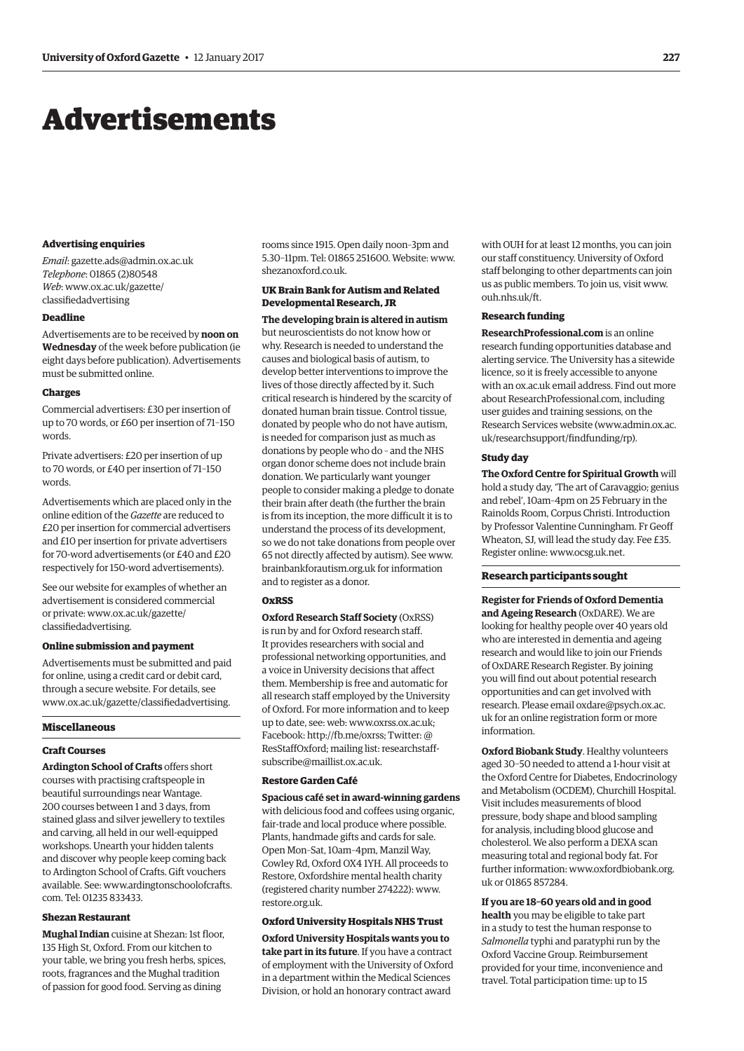# <span id="page-8-0"></span>Advertisements

#### **Advertising enquiries**

*Email*: [gazette.ads@admin.ox.ac.uk](mailto:gazette.ads@admin.ox.ac.uk) *Telephone*: 01865 (2)80548 *Web*[: www.ox.ac.uk/gazette/](www.ox.ac.uk/gazette/classifiedadvertising) classifiedadvertising

#### **Deadline**

Advertisements are to be received by **noon on Wednesday** of the week before publication (ie eight days before publication). Advertisements must be submitted online.

#### **Charges**

Commercial advertisers: £30 per insertion of up to 70 words, or £60 per insertion of 71–150 words.

Private advertisers: £20 per insertion of up to 70 words, or £40 per insertion of 71–150 words.

Advertisements which are placed only in the online edition of the *Gazette* are reduced to £20 per insertion for commercial advertisers and £10 per insertion for private advertisers for 70-word advertisements (or £40 and £20 respectively for 150-word advertisements).

See our website for examples of whether an advertisement is considered commercial [or private: www.ox.ac.uk/gazette/](www.ox.ac.uk/gazette/classifiedadvertising) classifiedadvertising.

#### **Online submission and payment**

Advertisements must be submitted and paid for online, using a credit card or debit card, through a secure website. For details, see [www.ox.ac.uk/gazette/classifiedadvertising.](http://www.ox.ac.uk/gazette/classifiedadvertising)

#### **Miscellaneous**

#### **Craft Courses**

**Ardington School of Crafts** offers short courses with practising craftspeople in beautiful surroundings near Wantage. 200 courses between 1 and 3 days, from stained glass and silver jewellery to textiles and carving, all held in our well-equipped workshops. Unearth your hidden talents and discover why people keep coming back to Ardington School of Crafts. Gift vouchers [available. See: www.ardingtonschoolofcrafts.](www.ardingtonschoolofcrafts.com) com. Tel: 01235 833433.

#### **Shezan Restaurant**

**Mughal Indian** cuisine at Shezan: 1st floor, 135 High St, Oxford. From our kitchen to your table, we bring you fresh herbs, spices, roots, fragrances and the Mughal tradition of passion for good food. Serving as dining

rooms since 1915. Open daily noon–3pm and 5.30–11pm. Tel: 01865 251600. Website: [www.](http://www.shezanoxford.co.uk) [shezanoxford.co.uk.](http://www.shezanoxford.co.uk)

#### **UK Brain Bank for Autism and Related Developmental Research, JR**

**The developing brain is altered in autism** but neuroscientists do not know how or why. Research is needed to understand the causes and biological basis of autism, to develop better interventions to improve the lives of those directly affected by it. Such critical research is hindered by the scarcity of donated human brain tissue. Control tissue, donated by people who do not have autism, is needed for comparison just as much as donations by people who do – and the NHS organ donor scheme does not include brain donation. We particularly want younger people to consider making a pledge to donate their brain after death (the further the brain is from its inception, the more difficult it is to understand the process of its development, so we do not take donations from people over 65 not directly affected by autism). See [www.](http://www.brainbankforautism.org.uk) [brainbankforautism.org.uk for](http://www.brainbankforautism.org.uk) information and to register as a donor.

#### **OxRSS**

**Oxford Research Staff Society** (OxRSS) is run by and for Oxford research staff. It provides researchers with social and professional networking opportunities, and a voice in University decisions that affect them. Membership is free and automatic for all research staff employed by the University of Oxford. For more information and to keep up to date, see: web: [www.oxrss.ox.ac.uk;](http://www.oxrss.ox.ac.uk)  Facebook: [http://fb.me/oxrss; Tw](http://fb.me/oxrss)itter: [@](https://twitter.com/resstaffoxford) [ResStaffOxford](https://twitter.com/resstaffoxford); mailing list: [researchstaff-](mailto:researchstaff-subscribe@maillist.ox.ac.uk)

#### **Restore Garden Café**

[subscribe@maillist.ox.ac.uk.](mailto:researchstaff-subscribe@maillist.ox.ac.uk)

**Spacious café set in award-winning gardens** with delicious food and coffees using organic, fair-trade and local produce where possible. Plants, handmade gifts and cards for sale. Open Mon–Sat, 10am–4pm, Manzil Way, Cowley Rd, Oxford OX4 1YH. All proceeds to Restore, Oxfordshire mental health charity (registered charity number 274222): [www.](http://www.restore.org.uk) [restore.org.uk.](http://www.restore.org.uk)

#### **Oxford University Hospitals NHS Trust**

**Oxford University Hospitals wants you to take part in its future**. If you have a contract of employment with the University of Oxford in a department within the Medical Sciences Division, or hold an honorary contract award

with OUH for at least 12 months, you can join our staff constituency. University of Oxford staff belonging to other departments can join us as public members. To join us, visit [www.](http://www.ouh.nhs.uk/ft) [ouh.nhs.uk/ft.](http://www.ouh.nhs.uk/ft)

#### **Research funding**

**ResearchProfessional.com** is an online research funding opportunities database and alerting service. The University has a sitewide licence, so it is freely accessible to anyone with an ox.ac.uk email address. Find out more about ResearchProfessional.com, including user guides and training sessions, on the Research Services website [\(www.admin.ox.ac.](http://www.admin.ox.ac.uk/researchsupport/findfunding/rp) [uk/researchsupport/findfunding/rp\).](http://www.admin.ox.ac.uk/researchsupport/findfunding/rp)

#### **Study day**

**The Oxford Centre for Spiritual Growth** will hold a study day, 'The art of Caravaggio; genius and rebel', 10am–4pm on 25 February in the Rainolds Room, Corpus Christi. Introduction by Professor Valentine Cunningham. Fr Geoff Wheaton, SJ, will lead the study day. Fee £35. Register online: [www.ocsg.uk.net.](http://www.ocsg.uk.net)

#### **Research participants sought**

**Register for Friends of Oxford Dementia and Ageing Research** (OxDARE). We are looking for healthy people over 40 years old who are interested in dementia and ageing research and would like to join our Friends of OxDARE Research Register. By joining you will find out about potential research opportunities and can get involved with [research. Please email oxdare@psych.ox.ac.](mailto:oxdare@psych.ox.ac.uk) uk for an online registration form or more information.

**Oxford Biobank Study**. Healthy volunteers aged 30–50 needed to attend a 1-hour visit at the Oxford Centre for Diabetes, Endocrinology and Metabolism (OCDEM), Churchill Hospital. Visit includes measurements of blood pressure, body shape and blood sampling for analysis, including blood glucose and cholesterol. We also perform a DEXA scan measuring total and regional body fat. For [further information: www.oxfordbiobank.org.](www.oxfordbiobank.org.uk) uk or 01865 857284.

**If you are 18–60 years old and in good health** you may be eligible to take part in a study to test the human response to *Salmonella* typhi and paratyphi run by the Oxford Vaccine Group. Reimbursement provided for your time, inconvenience and travel. Total participation time: up to 15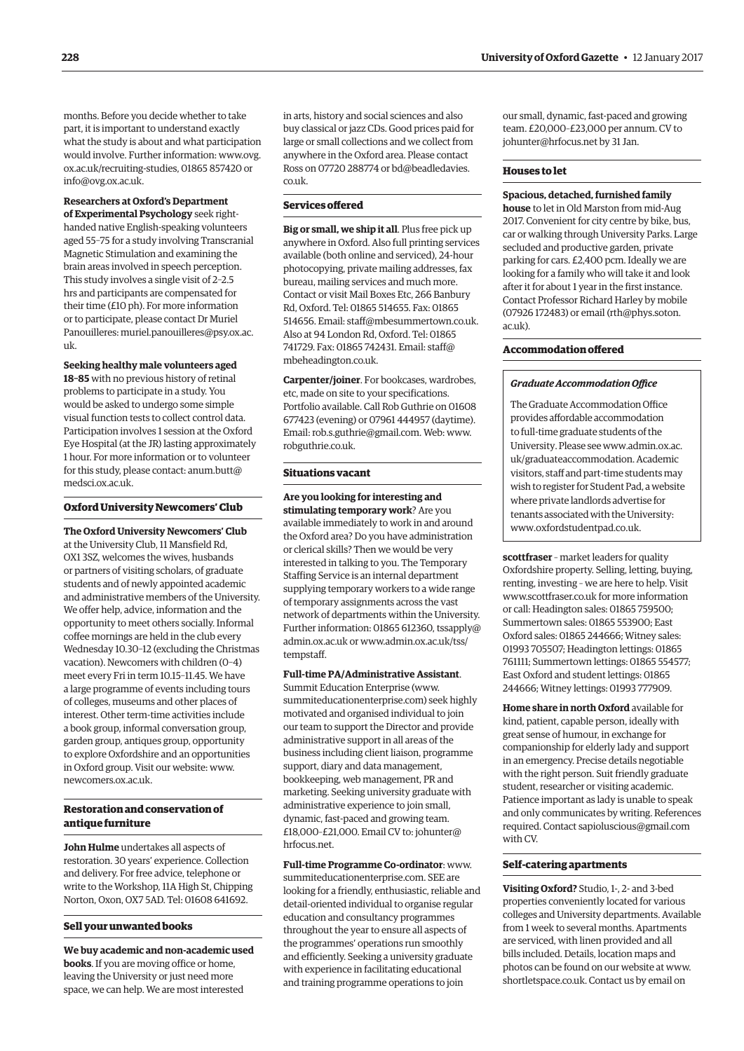months. Before you decide whether to take part, it is important to understand exactly what the study is about and what participation [would involve. Further information: www.ovg.](www.ovg.ox.ac.uk/recruiting-studies) ox.ac.uk/recruiting-studies, 01865 857420 or [info@ovg.ox.ac.uk.](mailto:info@ovg.ox.ac.uk)

#### **Researchers at Oxford's Department**

**of Experimental Psychology** seek righthanded native English-speaking volunteers aged 55–75 for a study involving Transcranial Magnetic Stimulation and examining the brain areas involved in speech perception. This study involves a single visit of 2–2.5 hrs and participants are compensated for their time (£10 ph). For more information or to participate, please contact Dr Muriel [Panouilleres: muriel.panouilleres@psy.ox.ac.](mailto:muriel.panouilleres@psy.ox.ac.uk) uk.

**Seeking healthy male volunteers aged** 

**18–85** with no previous history of retinal problems to participate in a study. You would be asked to undergo some simple visual function tests to collect control data. Participation involves 1 session at the Oxford Eye Hospital (at the JR) lasting approximately 1 hour. For more information or to volunteer [for this study, please contact: anum.butt@](mailto:anum.butt@medsci.ox.ac.uk) medsci.ox.ac.uk.

#### **Oxford University Newcomers' Club**

**The Oxford University Newcomers' Club** at the University Club, 11 Mansfield Rd, OX1 3SZ, welcomes the wives, husbands or partners of visiting scholars, of graduate students and of newly appointed academic and administrative members of the University. We offer help, advice, information and the opportunity to meet others socially. Informal coffee mornings are held in the club every Wednesday 10.30–12 (excluding the Christmas vacation). Newcomers with children (0–4) meet every Fri in term 10.15–11.45. We have a large programme of events including tours of colleges, museums and other places of interest. Other term-time activities include a book group, informal conversation group, garden group, antiques group, opportunity to explore Oxfordshire and an opportunities in Oxford group. Visit our website: [www.](http://www.newcomers.ox.ac.uk) [newcomers.ox.ac.uk.](http://www.newcomers.ox.ac.uk)

#### **Restoration and conservation of antique furniture**

**John Hulme** undertakes all aspects of restoration. 30 years' experience. Collection and delivery. For free advice, telephone or write to the Workshop, 11A High St, Chipping Norton, Oxon, OX7 5AD. Tel: 01608 641692.

#### **Sell your unwanted books**

**We buy academic and non-academic used books**. If you are moving office or home, leaving the University or just need more space, we can help. We are most interested

in arts, history and social sciences and also buy classical or jazz CDs. Good prices paid for large or small collections and we collect from anywhere in the Oxford area. Please contact [Ross on 07720 288774 or bd@beadledavies.](mailto:bd@beadledavies.co.uk) co.uk.

#### **Services offered**

**Big or small, we ship it all**. Plus free pick up anywhere in Oxford. Also full printing services available (both online and serviced), 24-hour photocopying, private mailing addresses, fax bureau, mailing services and much more. Contact or visit Mail Boxes Etc, 266 Banbury Rd, Oxford. Tel: 01865 514655. Fax: 01865 514656. Email: [staff@mbesummertown.co.uk.](mailto:staff@mbesummertown.co.uk)  Also at 94 London Rd, Oxford. Tel: 01865 [741729. Fax: 01865 742431. Email: staff@](mailto:staff@mbeheadington.co.uk) mbeheadington.co.uk.

**Carpenter/joiner**. For bookcases, wardrobes, etc, made on site to your specifications. Portfolio available. Call Rob Guthrie on 01608 677423 (evening) or 07961 444957 (daytime). Email: [rob.s.guthrie@gmail.com. We](mailto:rob.s.guthrie@gmail.com)b: [www.](http://www.robguthrie.co.uk) [robguthrie.co.uk.](http://www.robguthrie.co.uk)

#### **Situations vacant**

**Are you looking for interesting and stimulating temporary work**? Are you available immediately to work in and around the Oxford area? Do you have administration or clerical skills? Then we would be very interested in talking to you. The Temporary Staffing Service is an internal department supplying temporary workers to a wide range of temporary assignments across the vast network of departments within the University. Further infor[mation: 01865 612360, tssapply@](mailto:tssapply@admin.ox.ac.uk) [admin.ox.ac.uk](mailto:tssapply@admin.ox.ac.uk) [or www.admin.ox.ac.uk/tss/](www.admin.ox.ac.uk/tss/tempstaff) tempstaff.

#### **Full-time PA/Administrative Assistant**.

Summit Education Enterprise [\(www.](http://www.summiteducationenterprise.com) [summiteducationenterprise.com\) se](http://www.summiteducationenterprise.com)ek highly motivated and organised individual to join our team to support the Director and provide administrative support in all areas of the business including client liaison, programme support, diary and data management, bookkeeping, web management, PR and marketing. Seeking university graduate with administrative experience to join small, dynamic, fast-paced and growing team. [£18,000–£21,000. Email CV to: johunter@](mailto:johunter@hrfocus.net) hrfocus.net.

**Full-time Programme Co-ordinator**: [www.](http://www.summiteducationenterprise.com) [summiteducationenterprise.com. SE](http://www.summiteducationenterprise.com)E are looking for a friendly, enthusiastic, reliable and detail-oriented individual to organise regular education and consultancy programmes throughout the year to ensure all aspects of the programmes' operations run smoothly and efficiently. Seeking a university graduate with experience in facilitating educational and training programme operations to join

our small, dynamic, fast-paced and growing team. £20,000–£23,000 per annum. CV to [johunter@hrfocus.net by](mailto:johunter@hrfocus.net) 31 Jan.

#### **Houses to let**

**Spacious, detached, furnished family** 

**house** to let in Old Marston from mid-Aug 2017. Convenient for city centre by bike, bus, car or walking through University Parks. Large secluded and productive garden, private parking for cars. £2,400 pcm. Ideally we are looking for a family who will take it and look after it for about 1 year in the first instance. Contact Professor Richard Harley by mobile (07926 172483) or email [\(rth@phys.soton.](mailto:rth@phys.soton.ac.uk)  $ac<sub>11</sub>k$ ).

#### **Accommodation offered**

#### *Graduate Accommodation Office*

The Graduate Accommodation Office provides affordable accommodation to full-time graduate students of the [University. Please see www.admin.ox.ac.](www.admin.ox.ac.uk/graduateaccommodation) uk/graduateaccommodation. Academic visitors, staff and part-time students may wish to register for Student Pad, a website where private landlords advertise for tenants associated with the University: [www.oxfordstudentpad.co.uk.](http://www.oxfordstudentpad.co.uk)

**scottfraser** – market leaders for quality Oxfordshire property. Selling, letting, buying, renting, investing – we are here to help. Visit [www.scottfraser.co.uk for](http://www.scottfraser.co.uk) more information or call: Headington sales: 01865 759500; Summertown sales: 01865 553900; East Oxford sales: 01865 244666; Witney sales: 01993 705507; Headington lettings: 01865 761111; Summertown lettings: 01865 554577; East Oxford and student lettings: 01865 244666; Witney lettings: 01993 777909.

**Home share in north Oxford** available for kind, patient, capable person, ideally with great sense of humour, in exchange for companionship for elderly lady and support in an emergency. Precise details negotiable with the right person. Suit friendly graduate student, researcher or visiting academic. Patience important as lady is unable to speak and only communicates by writing. References required. Contact [sapioluscious@gmail.com](mailto:sapioluscious@gmail.com)  with CV.

#### **Self-catering apartments**

**Visiting Oxford?** Studio, 1-, 2- and 3-bed properties conveniently located for various colleges and University departments. Available from 1 week to several months. Apartments are serviced, with linen provided and all bills included. Details, location maps and photos can be found on our website at [www.](http://www.shortletspace.co.uk) [shortletspace.co.uk. Co](http://www.shortletspace.co.uk)ntact us by email on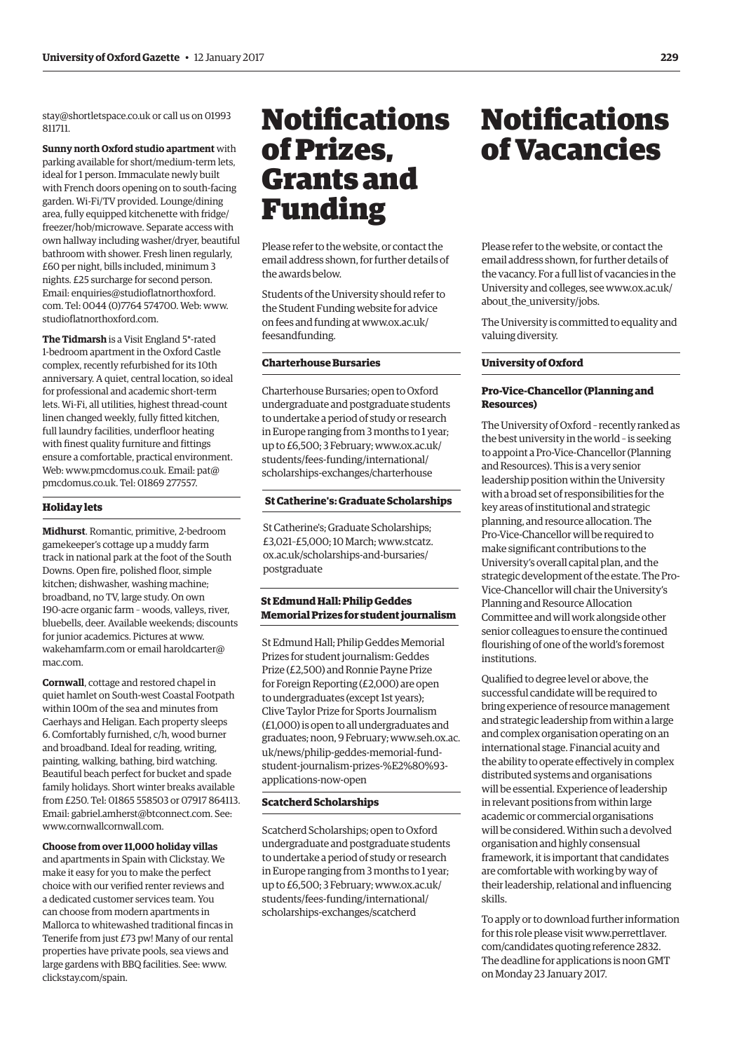<span id="page-10-0"></span>[stay@shortletspace.co.uk or](mailto:stay@shortletspace.co.uk) call us on 01993 811711.

**Sunny north Oxford studio apartment** with parking available for short/medium-term lets, ideal for 1 person. Immaculate newly built with French doors opening on to south-facing garden. Wi-Fi/TV provided. Lounge/dining area, fully equipped kitchenette with fridge/ freezer/hob/microwave. Separate access with own hallway including washer/dryer, beautiful bathroom with shower. Fresh linen regularly, £60 per night, bills included, minimum 3 nights. £25 surcharge for second person. [Email: enquiries@studioflatnorthoxford.](mailto:enquiries@studioflatnorthoxford.com) com. Tel: 0044 (0)7764 574700. Web: [www.](http://www.studioflatnorthoxford.com) [studioflatnorthoxford.com.](http://www.studioflatnorthoxford.com)

**The Tidmarsh** is a Visit England 5\*-rated 1-bedroom apartment in the Oxford Castle complex, recently refurbished for its 10th anniversary. A quiet, central location, so ideal for professional and academic short-term lets. Wi-Fi, all utilities, highest thread-count linen changed weekly, fully fitted kitchen, full laundry facilities, underfloor heating with finest quality furniture and fittings ensure a comfortable, practical environment. Web: [www.pmcdomus.co.uk. Em](http://www.pmcdomus.co.uk)[ail: pat@](mailto:pat@pmcdomus.co.uk) [pmcdomus.co.uk.](mailto:pat@pmcdomus.co.uk) Tel: 01869 277557.

#### **Holiday lets**

**Midhurst**. Romantic, primitive, 2-bedroom gamekeeper's cottage up a muddy farm track in national park at the foot of the South Downs. Open fire, polished floor, simple kitchen; dishwasher, washing machine; broadband, no TV, large study. On own 190-acre organic farm – woods, valleys, river, bluebells, deer. Available weekends; discounts for junior academics. Pictures at [www.](http://www.wakehamfarm.com) [wakehamfarm.com or](http://www.wakehamfarm.com) e[mail haroldcarter@](mailto:haroldcarter@mac.com) mac.com.

**Cornwall**, cottage and restored chapel in quiet hamlet on South-west Coastal Footpath within 100m of the sea and minutes from Caerhays and Heligan. Each property sleeps 6. Comfortably furnished, c/h, wood burner and broadband. Ideal for reading, writing, painting, walking, bathing, bird watching. Beautiful beach perfect for bucket and spade family holidays. Short winter breaks available from £250. Tel: 01865 558503 or 07917 864113. Email: [gabriel.amherst@btconnect.com. Se](mailto:gabriel.amherst@btconnect.com)e: [www.cornwallcornwall.com.](http://www.cornwallcornwall.com)

**Choose from over 11,000 holiday villas** and apartments in Spain with Clickstay. We make it easy for you to make the perfect choice with our verified renter reviews and a dedicated customer services team. You can choose from modern apartments in Mallorca to whitewashed traditional fincas in Tenerife from just £73 pw! Many of our rental properties have private pools, sea views and large gardens with BBQ facilities. See: [www.](http://www.clickstay.com/spain) [clickstay.com/spain.](http://www.clickstay.com/spain)

## Notifications of Prizes, Grants and Funding

Please refer to the website, or contact the email address shown, for further details of the awards below.

Students of the University should refer to the Student Funding website for advice [on fees and funding at www.ox.ac.uk/](www.ox.ac.uk/feesandfunding) feesandfunding.

#### **Charterhouse Bursaries**

Charterhouse Bursaries; open to Oxford undergraduate and postgraduate students to undertake a period of study or research in Europe ranging from 3 months to 1 year; [up to £6,500; 3 February; www.ox.ac.uk/](www.ox.ac.uk/students/fees-funding/international/scholarships-exchanges/charterhouse) students/fees-funding/international/ scholarships-exchanges/charterhouse

#### **St Catherine's: Graduate Scholarships**

St Catherine's; Graduate Scholarships; [£3,021–£5,000; 10 March; www.stcatz.](www.stcatz.ox.ac.uk/scholarships-and-bursaries/postgraduate) ox.ac.uk/scholarships-and-bursaries/ postgraduate

#### **St Edmund Hall: Philip Geddes Memorial Prizes for student journalism**

St Edmund Hall; Philip Geddes Memorial Prizes for student journalism: Geddes Prize (£2,500) and Ronnie Payne Prize for Foreign Reporting (£2,000) are open to undergraduates (except 1st years); Clive Taylor Prize for Sports Journalism (£1,000) is open to all undergraduates and graduates; noon, 9 February; www.seh.ox.ac. uk/news/philip-geddes-memorial-fund[student-journalism-prizes-%E2%80%93](www.seh.ox.ac.uk/news/philip-geddes-memorial-fund-student-journalism-prizes-%E2%80%93-applications-now-open) applications-now-open

#### **Scatcherd Scholarships**

Scatcherd Scholarships; open to Oxford undergraduate and postgraduate students to undertake a period of study or research in Europe ranging from 3 months to 1 year; [up to £6,500; 3 February; www.ox.ac.uk/](www.ox.ac.uk/students/fees-funding/international/scholarships-exchanges/scatcherd) students/fees-funding/international/ scholarships-exchanges/scatcherd

## Notifications of Vacancies

Please refer to the website, or contact the email address shown, for further details of the vacancy. For a full list of vacancies in the [University and colleges, see www.ox.ac.uk/](www.ox.ac.uk/about_the_university/jobs) about the university/jobs.

The University is committed to equality and valuing diversity.

#### **University of Oxford**

#### **Pro-Vice-Chancellor (Planning and Resources)**

The University of Oxford – recently ranked as the best university in the world – is seeking to appoint a Pro-Vice-Chancellor (Planning and Resources). This is a very senior leadership position within the University with a broad set of responsibilities for the key areas of institutional and strategic planning, and resource allocation. The Pro-Vice-Chancellor will be required to make significant contributions to the University's overall capital plan, and the strategic development of the estate. The Pro-Vice-Chancellor will chair the University's Planning and Resource Allocation Committee and will work alongside other senior colleagues to ensure the continued flourishing of one of the world's foremost institutions.

Qualified to degree level or above, the successful candidate will be required to bring experience of resource management and strategic leadership from within a large and complex organisation operating on an international stage. Financial acuity and the ability to operate effectively in complex distributed systems and organisations will be essential. Experience of leadership in relevant positions from within large academic or commercial organisations will be considered. Within such a devolved organisation and highly consensual framework, it is important that candidates are comfortable with working by way of their leadership, relational and influencing skills.

To apply or to download further information [for this role please visit www.perrettlaver.](www.perrettlaver.com/candidates) com/candidates quoting reference 2832. The deadline for applications is noon GMT on Monday 23 January 2017.